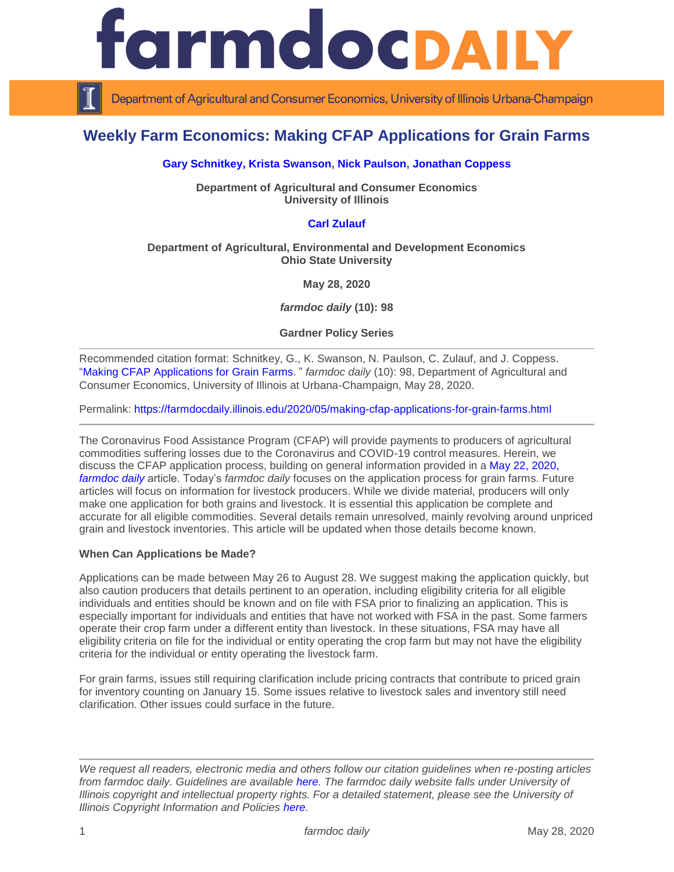

Department of Agricultural and Consumer Economics, University of Illinois Urbana-Champaign

# **Weekly Farm Economics: Making CFAP Applications for Grain Farms**

### **[Gary Schnitkey,](https://ace.illinois.edu/directory/schnitke) [Krista Swanson,](https://ace.illinois.edu/directory/krista) [Nick Paulson,](https://ace.illinois.edu/directory/npaulson) [Jonathan Coppess](https://ace.illinois.edu/directory/jwcoppes)**

**Department of Agricultural and Consumer Economics University of Illinois**

## **[Carl Zulauf](http://aede.osu.edu/our-people/carl-zulauf)**

#### **Department of Agricultural, Environmental and Development Economics Ohio State University**

**May 28, 2020**

*farmdoc daily* **(10): 98**

**Gardner Policy Series**

Recommended citation format: Schnitkey, G., K. Swanson, N. Paulson, C. Zulauf, and J. Coppess. ["Making CFAP Applications for Grain Farms](https://farmdocdaily.illinois.edu/2020/05/making-cfap-applications-for-grain-farms.html)." *farmdoc daily* (10): 98, Department of Agricultural and Consumer Economics, University of Illinois at Urbana-Champaign, May 28, 2020.

Permalink:<https://farmdocdaily.illinois.edu/2020/05/making-cfap-applications-for-grain-farms.html>

The Coronavirus Food Assistance Program (CFAP) will provide payments to producers of agricultural commodities suffering losses due to the Coronavirus and COVID-19 control measures. Herein, we discuss the CFAP application process, building on general information provided in a [May 22, 2020,](https://farmdocdaily.illinois.edu/2020/05/coronavirus-food-assistance-program-cfap-rules-announced.html)  *[farmdoc daily](https://farmdocdaily.illinois.edu/2020/05/coronavirus-food-assistance-program-cfap-rules-announced.html)* article. Today's *farmdoc daily* focuses on the application process for grain farms. Future articles will focus on information for livestock producers. While we divide material, producers will only make one application for both grains and livestock. It is essential this application be complete and accurate for all eligible commodities. Several details remain unresolved, mainly revolving around unpriced grain and livestock inventories. This article will be updated when those details become known.

#### **When Can Applications be Made?**

Applications can be made between May 26 to August 28. We suggest making the application quickly, but also caution producers that details pertinent to an operation, including eligibility criteria for all eligible individuals and entities should be known and on file with FSA prior to finalizing an application. This is especially important for individuals and entities that have not worked with FSA in the past. Some farmers operate their crop farm under a different entity than livestock. In these situations, FSA may have all eligibility criteria on file for the individual or entity operating the crop farm but may not have the eligibility criteria for the individual or entity operating the livestock farm.

For grain farms, issues still requiring clarification include pricing contracts that contribute to priced grain for inventory counting on January 15. Some issues relative to livestock sales and inventory still need clarification. Other issues could surface in the future.

*We request all readers, electronic media and others follow our citation guidelines when re-posting articles from farmdoc daily. Guidelines are available [here.](http://farmdocdaily.illinois.edu/citationguide.html) The farmdoc daily website falls under University of Illinois copyright and intellectual property rights. For a detailed statement, please see the University of Illinois Copyright Information and Policies [here.](http://www.cio.illinois.edu/policies/copyright/)*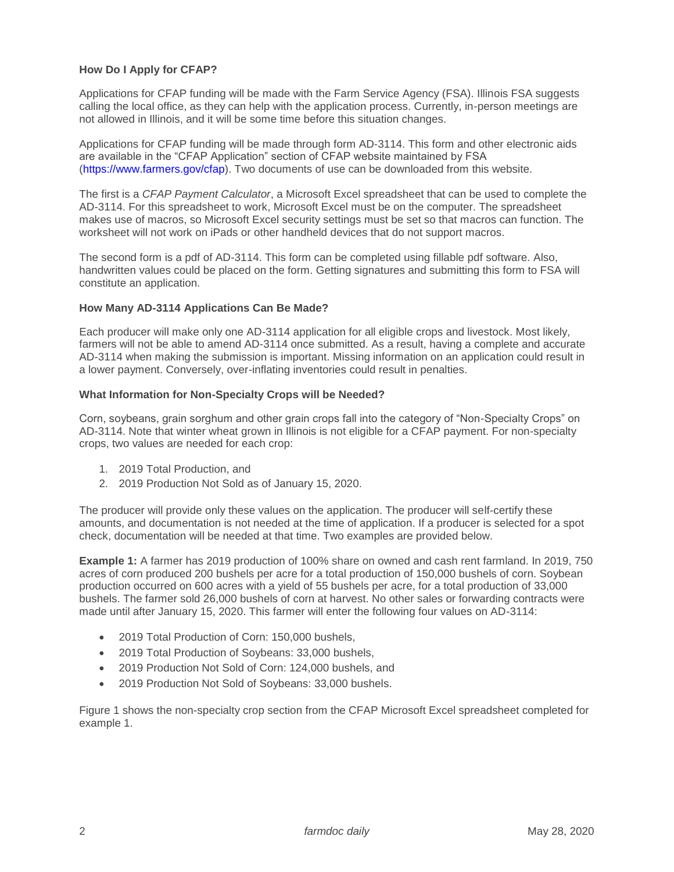## **How Do I Apply for CFAP?**

Applications for CFAP funding will be made with the Farm Service Agency (FSA). Illinois FSA suggests calling the local office, as they can help with the application process. Currently, in-person meetings are not allowed in Illinois, and it will be some time before this situation changes.

Applications for CFAP funding will be made through form AD-3114. This form and other electronic aids are available in the "CFAP Application" section of CFAP website maintained by FSA [\(https://www.farmers.gov/cfap\)](https://www.farmers.gov/cfap). Two documents of use can be downloaded from this website.

The first is a *CFAP Payment Calculator*, a Microsoft Excel spreadsheet that can be used to complete the AD-3114. For this spreadsheet to work, Microsoft Excel must be on the computer. The spreadsheet makes use of macros, so Microsoft Excel security settings must be set so that macros can function. The worksheet will not work on iPads or other handheld devices that do not support macros.

The second form is a pdf of AD-3114. This form can be completed using fillable pdf software. Also, handwritten values could be placed on the form. Getting signatures and submitting this form to FSA will constitute an application.

#### **How Many AD-3114 Applications Can Be Made?**

Each producer will make only one AD-3114 application for all eligible crops and livestock. Most likely, farmers will not be able to amend AD-3114 once submitted. As a result, having a complete and accurate AD-3114 when making the submission is important. Missing information on an application could result in a lower payment. Conversely, over-inflating inventories could result in penalties.

#### **What Information for Non-Specialty Crops will be Needed?**

Corn, soybeans, grain sorghum and other grain crops fall into the category of "Non-Specialty Crops" on AD-3114. Note that winter wheat grown in Illinois is not eligible for a CFAP payment. For non-specialty crops, two values are needed for each crop:

- 1. 2019 Total Production, and
- 2. 2019 Production Not Sold as of January 15, 2020.

The producer will provide only these values on the application. The producer will self-certify these amounts, and documentation is not needed at the time of application. If a producer is selected for a spot check, documentation will be needed at that time. Two examples are provided below.

**Example 1:** A farmer has 2019 production of 100% share on owned and cash rent farmland. In 2019, 750 acres of corn produced 200 bushels per acre for a total production of 150,000 bushels of corn. Soybean production occurred on 600 acres with a yield of 55 bushels per acre, for a total production of 33,000 bushels. The farmer sold 26,000 bushels of corn at harvest. No other sales or forwarding contracts were made until after January 15, 2020. This farmer will enter the following four values on AD-3114:

- 2019 Total Production of Corn: 150,000 bushels,
- 2019 Total Production of Soybeans: 33,000 bushels,
- 2019 Production Not Sold of Corn: 124,000 bushels, and
- 2019 Production Not Sold of Soybeans: 33,000 bushels.

Figure 1 shows the non-specialty crop section from the CFAP Microsoft Excel spreadsheet completed for example 1.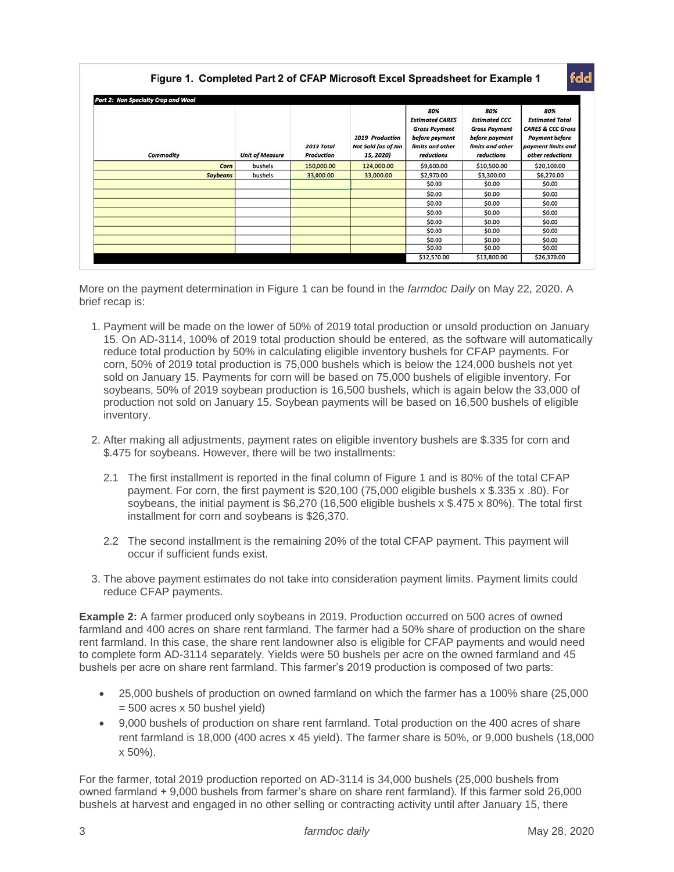| Part 2: Non Specialty Crop and Wool |                        |                          |                                                     |                                                                                                           |                                                                                                         |                                                                                                                                  |  |  |  |
|-------------------------------------|------------------------|--------------------------|-----------------------------------------------------|-----------------------------------------------------------------------------------------------------------|---------------------------------------------------------------------------------------------------------|----------------------------------------------------------------------------------------------------------------------------------|--|--|--|
| Commodity                           | <b>Unit of Measure</b> | 2019 Total<br>Production | 2019 Production<br>Not Sold (as of Jan<br>15, 2020) | 80%<br><b>Estimated CARES</b><br><b>Gross Payment</b><br>before payment<br>limits and other<br>reductions | 80%<br><b>Estimated CCC</b><br><b>Gross Payment</b><br>before payment<br>limits and other<br>reductions | 80%<br><b>Estimated Total</b><br><b>CARES &amp; CCC Gross</b><br><b>Payment before</b><br>payment limits and<br>other reductions |  |  |  |
| Corn                                | bushels                | 150,000.00               | 124,000.00                                          | \$9,600.00                                                                                                | \$10,500.00                                                                                             | \$20,100.00                                                                                                                      |  |  |  |
| <b>Soybeans</b>                     | bushels                | 33,000.00                | 33,000.00                                           | \$2,970.00                                                                                                | \$3,300.00                                                                                              | \$6,270.00                                                                                                                       |  |  |  |
|                                     |                        |                          |                                                     | \$0.00                                                                                                    | \$0.00                                                                                                  | \$0.00                                                                                                                           |  |  |  |
|                                     |                        |                          |                                                     | \$0.00                                                                                                    | \$0.00                                                                                                  | \$0.00                                                                                                                           |  |  |  |
|                                     |                        |                          |                                                     | \$0.00                                                                                                    | \$0.00                                                                                                  | \$0.00                                                                                                                           |  |  |  |
|                                     |                        |                          |                                                     | \$0.00                                                                                                    | \$0.00                                                                                                  | \$0.00                                                                                                                           |  |  |  |
|                                     |                        |                          |                                                     | \$0.00                                                                                                    | \$0.00                                                                                                  | \$0.00                                                                                                                           |  |  |  |
|                                     |                        |                          |                                                     | \$0.00                                                                                                    | \$0.00                                                                                                  | \$0.00                                                                                                                           |  |  |  |
|                                     |                        |                          |                                                     | \$0.00                                                                                                    | \$0.00                                                                                                  | \$0.00                                                                                                                           |  |  |  |
|                                     |                        |                          |                                                     | \$0.00                                                                                                    | \$0.00                                                                                                  | \$0.00                                                                                                                           |  |  |  |
|                                     |                        |                          |                                                     | \$12,570.00                                                                                               | \$13,800.00                                                                                             | \$26,370.00                                                                                                                      |  |  |  |

More on the payment determination in Figure 1 can be found in the *farmdoc Daily* on May 22, 2020. A brief recap is:

- 1. Payment will be made on the lower of 50% of 2019 total production or unsold production on January 15. On AD-3114, 100% of 2019 total production should be entered, as the software will automatically reduce total production by 50% in calculating eligible inventory bushels for CFAP payments. For corn, 50% of 2019 total production is 75,000 bushels which is below the 124,000 bushels not yet sold on January 15. Payments for corn will be based on 75,000 bushels of eligible inventory. For soybeans, 50% of 2019 soybean production is 16,500 bushels, which is again below the 33,000 of production not sold on January 15. Soybean payments will be based on 16,500 bushels of eligible inventory.
- 2. After making all adjustments, payment rates on eligible inventory bushels are \$.335 for corn and \$.475 for soybeans. However, there will be two installments:
	- 2.1 The first installment is reported in the final column of Figure 1 and is 80% of the total CFAP payment. For corn, the first payment is \$20,100 (75,000 eligible bushels x \$.335 x .80). For soybeans, the initial payment is \$6,270 (16,500 eligible bushels x \$.475 x 80%). The total first installment for corn and soybeans is \$26,370.
	- 2.2 The second installment is the remaining 20% of the total CFAP payment. This payment will occur if sufficient funds exist.
- 3. The above payment estimates do not take into consideration payment limits. Payment limits could reduce CFAP payments.

**Example 2:** A farmer produced only soybeans in 2019. Production occurred on 500 acres of owned farmland and 400 acres on share rent farmland. The farmer had a 50% share of production on the share rent farmland. In this case, the share rent landowner also is eligible for CFAP payments and would need to complete form AD-3114 separately. Yields were 50 bushels per acre on the owned farmland and 45 bushels per acre on share rent farmland. This farmer's 2019 production is composed of two parts:

- 25,000 bushels of production on owned farmland on which the farmer has a 100% share (25,000  $= 500$  acres x 50 bushel yield)
- 9,000 bushels of production on share rent farmland. Total production on the 400 acres of share rent farmland is 18,000 (400 acres x 45 yield). The farmer share is 50%, or 9,000 bushels (18,000 x 50%).

For the farmer, total 2019 production reported on AD-3114 is 34,000 bushels (25,000 bushels from owned farmland + 9,000 bushels from farmer's share on share rent farmland). If this farmer sold 26,000 bushels at harvest and engaged in no other selling or contracting activity until after January 15, there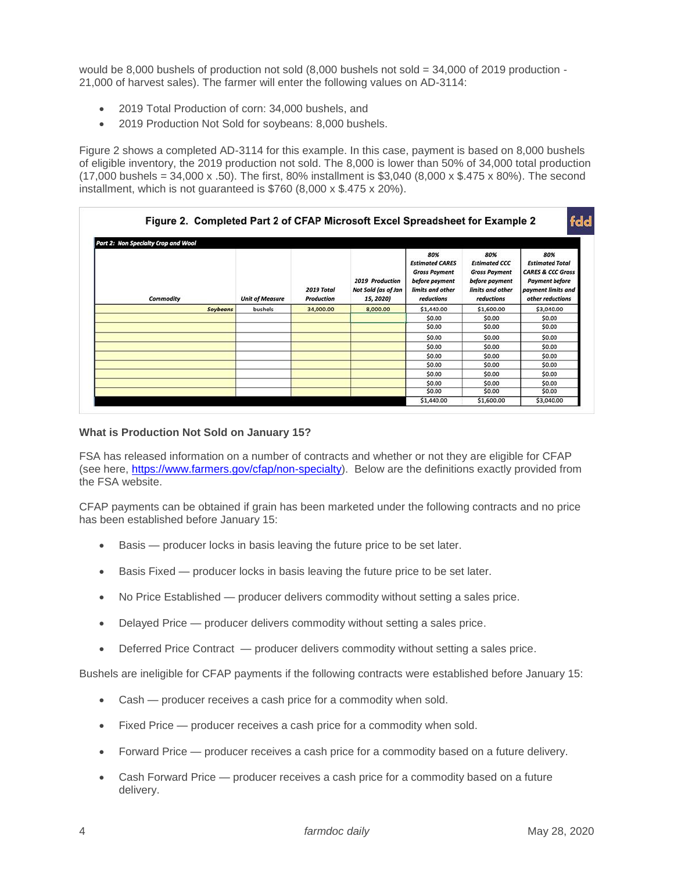would be 8,000 bushels of production not sold (8,000 bushels not sold = 34,000 of 2019 production - 21,000 of harvest sales). The farmer will enter the following values on AD-3114:

- 2019 Total Production of corn: 34,000 bushels, and
- 2019 Production Not Sold for soybeans: 8,000 bushels.

Figure 2 shows a completed AD-3114 for this example. In this case, payment is based on 8,000 bushels of eligible inventory, the 2019 production not sold. The 8,000 is lower than 50% of 34,000 total production (17,000 bushels = 34,000 x .50). The first, 80% installment is \$3,040 (8,000 x \$.475 x 80%). The second installment, which is not guaranteed is \$760 (8,000 x \$.475 x 20%).

| Part 2: Non Specialty Crop and Wool |                        |                          |                                                     |                                                                                                           |                                                                                                         |                                                                                                                                  |  |  |  |
|-------------------------------------|------------------------|--------------------------|-----------------------------------------------------|-----------------------------------------------------------------------------------------------------------|---------------------------------------------------------------------------------------------------------|----------------------------------------------------------------------------------------------------------------------------------|--|--|--|
| Commodity                           | <b>Unit of Measure</b> | 2019 Total<br>Production | 2019 Production<br>Not Sold (as of Jan<br>15, 2020) | 80%<br><b>Estimated CARES</b><br><b>Gross Payment</b><br>before payment<br>limits and other<br>reductions | 80%<br><b>Estimated CCC</b><br><b>Gross Payment</b><br>before payment<br>limits and other<br>reductions | 80%<br><b>Estimated Total</b><br><b>CARES &amp; CCC Gross</b><br><b>Payment before</b><br>payment limits and<br>other reductions |  |  |  |
| Soybeans                            | bushels                | 34,000.00                | 8,000.00                                            | \$1,440.00                                                                                                | \$1,600.00                                                                                              | \$3,040.00                                                                                                                       |  |  |  |
|                                     |                        |                          |                                                     | \$0.00                                                                                                    | \$0.00                                                                                                  | \$0.00                                                                                                                           |  |  |  |
|                                     |                        |                          |                                                     | \$0.00                                                                                                    | \$0.00                                                                                                  | \$0.00                                                                                                                           |  |  |  |
|                                     |                        |                          |                                                     | \$0.00                                                                                                    | \$0.00                                                                                                  | \$0.00                                                                                                                           |  |  |  |
|                                     |                        |                          |                                                     | \$0.00                                                                                                    | \$0.00                                                                                                  | \$0.00                                                                                                                           |  |  |  |
|                                     |                        |                          |                                                     | \$0.00                                                                                                    | \$0.00                                                                                                  | \$0.00                                                                                                                           |  |  |  |
|                                     |                        |                          |                                                     | \$0.00                                                                                                    | \$0.00                                                                                                  | \$0.00                                                                                                                           |  |  |  |
|                                     |                        |                          |                                                     | \$0.00                                                                                                    | \$0.00                                                                                                  | \$0.00                                                                                                                           |  |  |  |
|                                     |                        |                          |                                                     | \$0.00                                                                                                    | \$0.00                                                                                                  | \$0.00                                                                                                                           |  |  |  |
|                                     |                        |                          |                                                     | \$0.00                                                                                                    | \$0.00                                                                                                  | \$0.00                                                                                                                           |  |  |  |
|                                     |                        |                          |                                                     | \$1,440.00                                                                                                | \$1,600.00                                                                                              | \$3,040.00                                                                                                                       |  |  |  |

### **What is Production Not Sold on January 15?**

FSA has released information on a number of contracts and whether or not they are eligible for CFAP (see here, [https://www.farmers.gov/cfap/non-specialty\)](https://www.farmers.gov/cfap/non-specialty). Below are the definitions exactly provided from the FSA website.

CFAP payments can be obtained if grain has been marketed under the following contracts and no price has been established before January 15:

- Basis producer locks in basis leaving the future price to be set later.
- Basis Fixed producer locks in basis leaving the future price to be set later.
- No Price Established producer delivers commodity without setting a sales price.
- Delayed Price producer delivers commodity without setting a sales price.
- Deferred Price Contract producer delivers commodity without setting a sales price.

Bushels are ineligible for CFAP payments if the following contracts were established before January 15:

- Cash producer receives a cash price for a commodity when sold.
- Fixed Price producer receives a cash price for a commodity when sold.
- Forward Price producer receives a cash price for a commodity based on a future delivery.
- Cash Forward Price producer receives a cash price for a commodity based on a future delivery.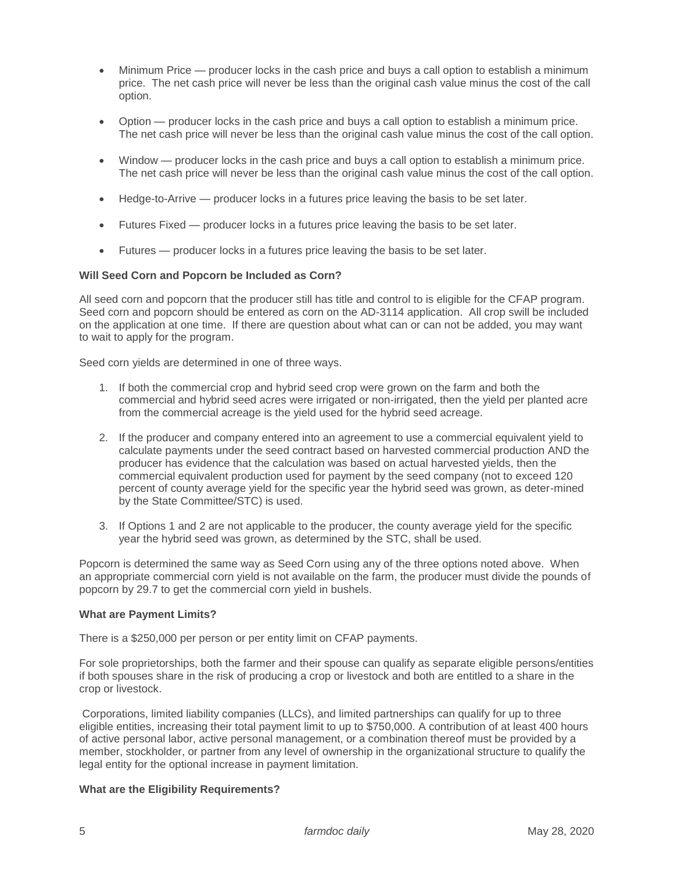- Minimum Price producer locks in the cash price and buys a call option to establish a minimum price. The net cash price will never be less than the original cash value minus the cost of the call option.
- Option producer locks in the cash price and buys a call option to establish a minimum price. The net cash price will never be less than the original cash value minus the cost of the call option.
- Window producer locks in the cash price and buys a call option to establish a minimum price. The net cash price will never be less than the original cash value minus the cost of the call option.
- Hedge-to-Arrive producer locks in a futures price leaving the basis to be set later.
- Futures Fixed producer locks in a futures price leaving the basis to be set later.
- Futures producer locks in a futures price leaving the basis to be set later.

## **Will Seed Corn and Popcorn be Included as Corn?**

All seed corn and popcorn that the producer still has title and control to is eligible for the CFAP program. Seed corn and popcorn should be entered as corn on the AD-3114 application. All crop swill be included on the application at one time. If there are question about what can or can not be added, you may want to wait to apply for the program.

Seed corn yields are determined in one of three ways.

- 1. If both the commercial crop and hybrid seed crop were grown on the farm and both the commercial and hybrid seed acres were irrigated or non-irrigated, then the yield per planted acre from the commercial acreage is the yield used for the hybrid seed acreage.
- 2. If the producer and company entered into an agreement to use a commercial equivalent yield to calculate payments under the seed contract based on harvested commercial production AND the producer has evidence that the calculation was based on actual harvested yields, then the commercial equivalent production used for payment by the seed company (not to exceed 120 percent of county average yield for the specific year the hybrid seed was grown, as deter-mined by the State Committee/STC) is used.
- 3. If Options 1 and 2 are not applicable to the producer, the county average yield for the specific year the hybrid seed was grown, as determined by the STC, shall be used.

Popcorn is determined the same way as Seed Corn using any of the three options noted above. When an appropriate commercial corn yield is not available on the farm, the producer must divide the pounds of popcorn by 29.7 to get the commercial corn yield in bushels.

#### **What are Payment Limits?**

There is a \$250,000 per person or per entity limit on CFAP payments.

For sole proprietorships, both the farmer and their spouse can qualify as separate eligible persons/entities if both spouses share in the risk of producing a crop or livestock and both are entitled to a share in the crop or livestock.

Corporations, limited liability companies (LLCs), and limited partnerships can qualify for up to three eligible entities, increasing their total payment limit to up to \$750,000. A contribution of at least 400 hours of active personal labor, active personal management, or a combination thereof must be provided by a member, stockholder, or partner from any level of ownership in the organizational structure to qualify the legal entity for the optional increase in payment limitation.

#### **What are the Eligibility Requirements?**